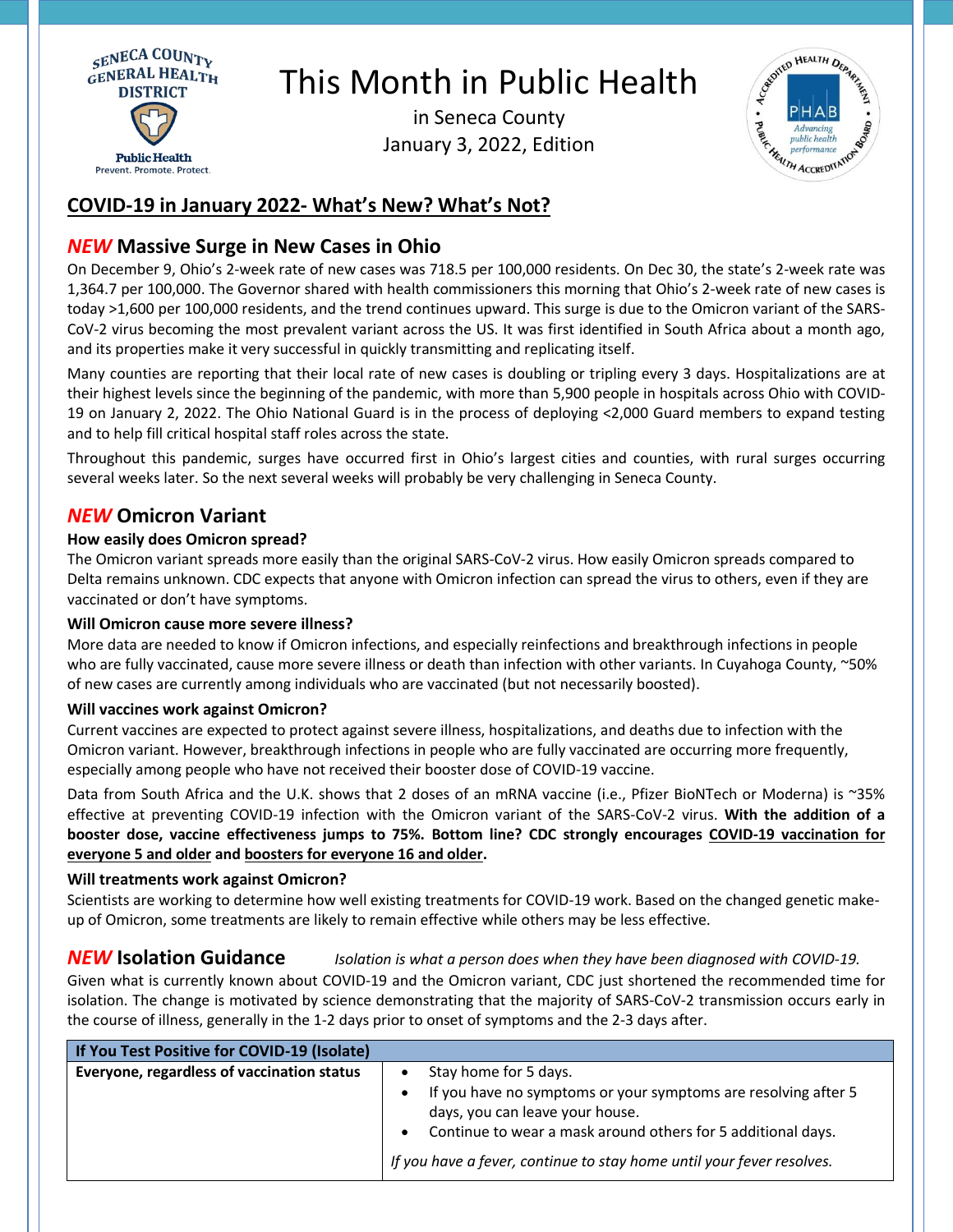

# This Month in Public Health

in Seneca County January 3, 2022, Edition



## **COVID-19 in January 2022- What's New? What's Not?**

## *NEW* **Massive Surge in New Cases in Ohio**

On December 9, Ohio's 2-week rate of new cases was 718.5 per 100,000 residents. On Dec 30, the state's 2-week rate was 1,364.7 per 100,000. The Governor shared with health commissioners this morning that Ohio's 2-week rate of new cases is today >1,600 per 100,000 residents, and the trend continues upward. This surge is due to the Omicron variant of the SARS-CoV-2 virus becoming the most prevalent variant across the US. It was first identified in South Africa about a month ago, and its properties make it very successful in quickly transmitting and replicating itself.

Many counties are reporting that their local rate of new cases is doubling or tripling every 3 days. Hospitalizations are at their highest levels since the beginning of the pandemic, with more than 5,900 people in hospitals across Ohio with COVID-19 on January 2, 2022. The Ohio National Guard is in the process of deploying <2,000 Guard members to expand testing and to help fill critical hospital staff roles across the state.

Throughout this pandemic, surges have occurred first in Ohio's largest cities and counties, with rural surges occurring several weeks later. So the next several weeks will probably be very challenging in Seneca County.

## *NEW* **Omicron Variant**

#### **How easily does Omicron spread?**

The Omicron variant spreads more easily than the original SARS-CoV-2 virus. How easily Omicron spreads compared to Delta remains unknown. CDC expects that anyone with Omicron infection can spread the virus to others, even if they are vaccinated or don't have symptoms.

#### **Will Omicron cause more severe illness?**

More data are needed to know if Omicron infections, and especially reinfections and breakthrough infections in people who are fully vaccinated, cause more severe illness or death than infection with other variants. In Cuyahoga County, ~50% of new cases are currently among individuals who are vaccinated (but not necessarily boosted).

#### **Will vaccines work against Omicron?**

Current vaccines are expected to protect against severe illness, hospitalizations, and deaths due to infection with the Omicron variant. However, breakthrough infections in people who are fully vaccinated are occurring more frequently, especially among people who have not received their booster dose of COVID-19 vaccine.

Data from South Africa and the U.K. shows that 2 doses of an mRNA vaccine (i.e., Pfizer BioNTech or Moderna) is ~35% effective at preventing COVID-19 infection with the Omicron variant of the SARS-CoV-2 virus. **With the addition of a booster dose, vaccine effectiveness jumps to 75%. Bottom line? CDC strongly encourages COVID-19 vaccination for everyone 5 and older and boosters for everyone 16 and older.**

#### **Will treatments work against Omicron?**

Scientists are working to determine how well existing treatments for COVID-19 work. Based on the changed genetic makeup of Omicron, some treatments are likely to remain effective while others may be less effective.

### *NEW* **Isolation Guidance** *Isolation is what a person does when they have been diagnosed with COVID-19.*

Given what is currently known about COVID-19 and the Omicron variant, CDC just shortened the recommended time for isolation. The change is motivated by science demonstrating that the majority of SARS-CoV-2 transmission occurs early in the course of illness, generally in the 1-2 days prior to onset of symptoms and the 2-3 days after.

| If You Test Positive for COVID-19 (Isolate) |                                                                                                   |
|---------------------------------------------|---------------------------------------------------------------------------------------------------|
| Everyone, regardless of vaccination status  | Stay home for 5 days.<br>$\bullet$                                                                |
|                                             | If you have no symptoms or your symptoms are resolving after 5<br>days, you can leave your house. |
|                                             | Continue to wear a mask around others for 5 additional days.<br>$\bullet$                         |
|                                             | If you have a fever, continue to stay home until your fever resolves.                             |